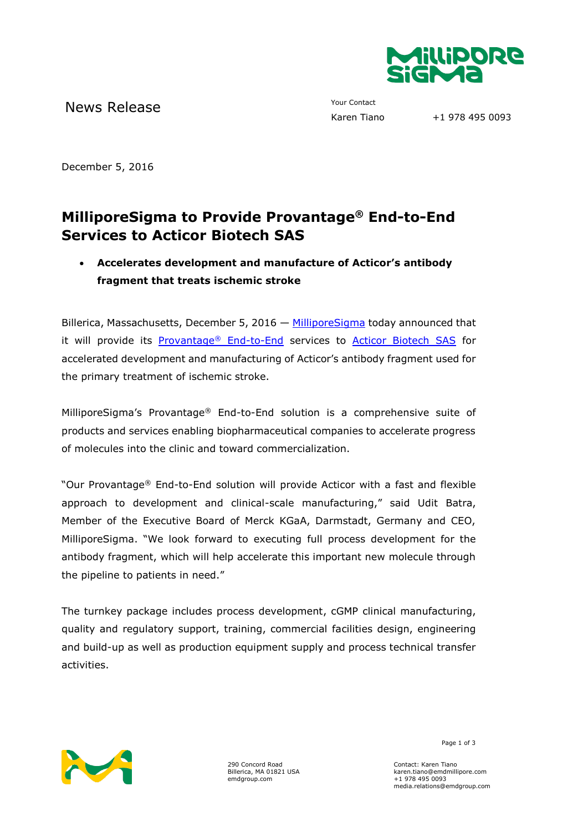

News Release The Contact Your Contact Trans

+1 978 495 0093

December 5, 2016

# **MilliporeSigma to Provide Provantage® End-to-End Services to Acticor Biotech SAS**

## **Accelerates development and manufacture of Acticor's antibody fragment that treats ischemic stroke**

Billerica, Massachusetts, December 5, 2016  $-$  [MilliporeSigma](http://www.emdgroup.com/emd/products/life_science/life_science.html) today announced that it will provide its [Provantage](http://www.emdmillipore.com/US/en/services/biopharmaceutical-manufacturing-small-molecule-pharmaceuticals/provantage-end-to-end-services/3ZCb.qB.SykAAAFUUGEGqsUt,nav)® End-to-End services to [Acticor Biotech](http://acticor-biotech.com/en/) SAS for accelerated development and manufacturing of Acticor's antibody fragment used for the primary treatment of ischemic stroke.

MilliporeSigma's Provantage® End-to-End solution is a comprehensive suite of products and services enabling biopharmaceutical companies to accelerate progress of molecules into the clinic and toward commercialization.

"Our Provantage® End-to-End solution will provide Acticor with a fast and flexible approach to development and clinical-scale manufacturing," said Udit Batra, Member of the Executive Board of Merck KGaA, Darmstadt, Germany and CEO, MilliporeSigma. "We look forward to executing full process development for the antibody fragment, which will help accelerate this important new molecule through the pipeline to patients in need."

The turnkey package includes process development, cGMP clinical manufacturing, quality and regulatory support, training, commercial facilities design, engineering and build-up as well as production equipment supply and process technical transfer activities.



290 Concord Road Billerica, MA 01821 USA emdgroup.com

Page 1 of 3

Contact: Karen Tiano karen.tiano@emdmillipore.com +1 978 495 0093 media.relations@emdgroup.com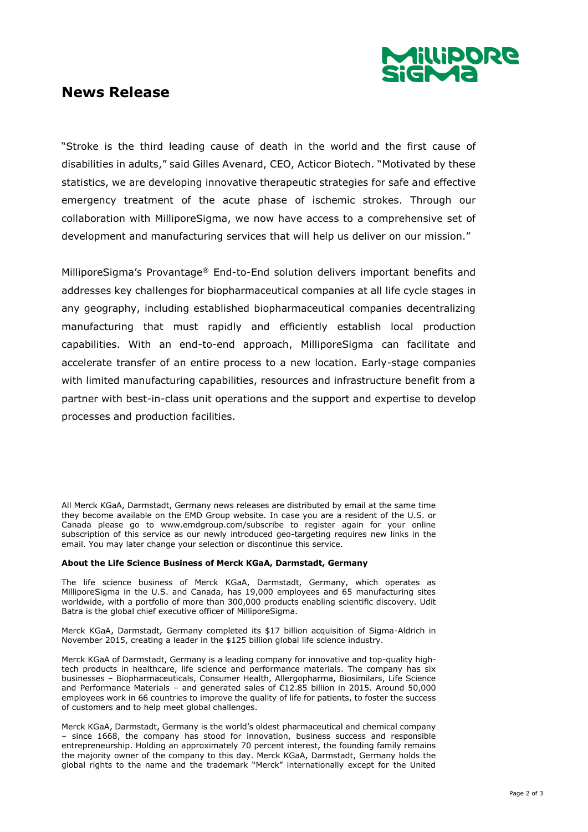

## **News Release**

"Stroke is the third leading cause of death in the world and the first cause of disabilities in adults," said Gilles Avenard, CEO, Acticor Biotech. "Motivated by these statistics, we are developing innovative therapeutic strategies for safe and effective emergency treatment of the acute phase of ischemic strokes. Through our collaboration with MilliporeSigma, we now have access to a comprehensive set of development and manufacturing services that will help us deliver on our mission."

MilliporeSigma's Provantage® End-to-End solution delivers important benefits and addresses key challenges for biopharmaceutical companies at all life cycle stages in any geography, including established biopharmaceutical companies decentralizing manufacturing that must rapidly and efficiently establish local production capabilities. With an end-to-end approach, MilliporeSigma can facilitate and accelerate transfer of an entire process to a new location. Early-stage companies with limited manufacturing capabilities, resources and infrastructure benefit from a partner with best-in-class unit operations and the support and expertise to develop processes and production facilities.

All Merck KGaA, Darmstadt, Germany news releases are distributed by email at the same time they become available on the EMD Group website. In case you are a resident of the U.S. or Canada please go to www.emdgroup.com/subscribe to register again for your online subscription of this service as our newly introduced geo-targeting requires new links in the email. You may later change your selection or discontinue this service.

#### **About the Life Science Business of Merck KGaA, Darmstadt, Germany**

The life science business of Merck KGaA, Darmstadt, Germany, which operates as MilliporeSigma in the U.S. and Canada, has 19,000 employees and 65 manufacturing sites worldwide, with a portfolio of more than 300,000 products enabling scientific discovery. Udit Batra is the global chief executive officer of MilliporeSigma.

Merck KGaA, Darmstadt, Germany completed its \$17 billion acquisition of Sigma-Aldrich in November 2015, creating a leader in the \$125 billion global life science industry.

Merck KGaA of Darmstadt, Germany is a leading company for innovative and top-quality hightech products in healthcare, life science and performance materials. The company has six businesses – Biopharmaceuticals, Consumer Health, Allergopharma, Biosimilars, Life Science and Performance Materials – and generated sales of €12.85 billion in 2015. Around 50,000 employees work in 66 countries to improve the quality of life for patients, to foster the success of customers and to help meet global challenges.

Merck KGaA, Darmstadt, Germany is the world's oldest pharmaceutical and chemical company – since 1668, the company has stood for innovation, business success and responsible entrepreneurship. Holding an approximately 70 percent interest, the founding family remains the majority owner of the company to this day. Merck KGaA, Darmstadt, Germany holds the global rights to the name and the trademark "Merck" internationally except for the United